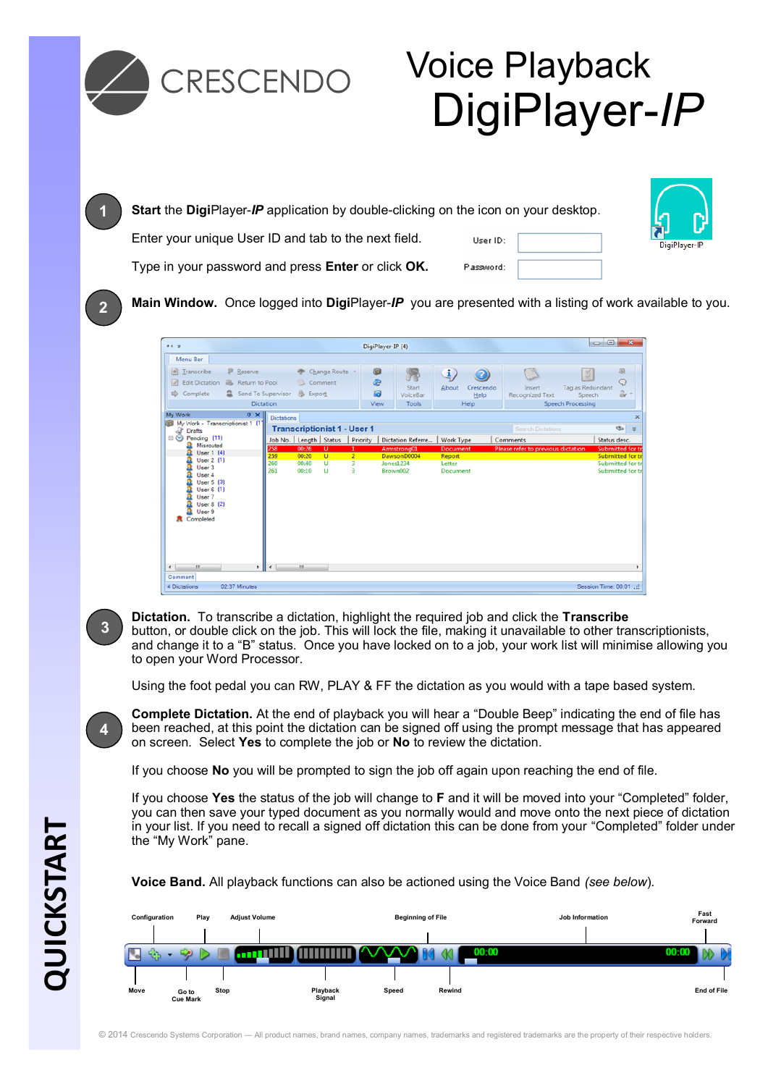

**Dictation.** To transcribe a dictation, highlight the required job and click the **Transcribe** button, or double click on the job. This will lock the file, making it unavailable to other transcriptionists, and change it to a "B" status. Once you have locked on to a job, your work list will minimise allowing you to open your Word Processor.

Using the foot pedal you can RW, PLAY & FF the dictation as you would with a tape based system.

**Complete Dictation.** At the end of playback you will hear a "Double Beep" indicating the end of file has been reached, at this point the dictation can be signed off using the prompt message that has appeared on screen. Select **Yes** to complete the job or **No** to review the dictation.

If you choose **No** you will be prompted to sign the job off again upon reaching the end of file.

If you choose **Yes** the status of the job will change to **F** and it will be moved into your "Completed" folder, you can then save your typed document as you normally would and move onto the next piece of dictation in your list. If you need to recall a signed off dictation this can be done from your "Completed" folder under the "My Work" pane.

**Voice Band.** All playback functions can also be actioned using the Voice Band *(see below*).



**3**

**4**